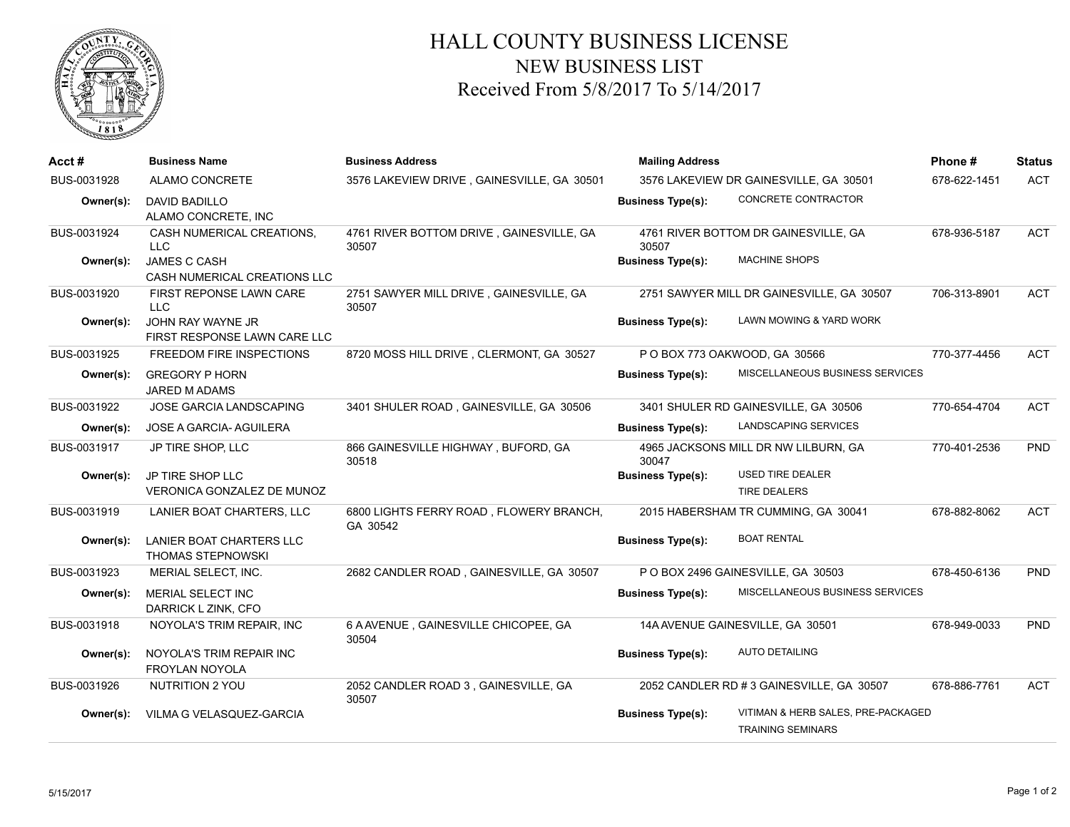

## HALL COUNTY BUSINESS LICENSE NEW BUSINESS LIST Received From 5/8/2017 To 5/14/2017

| Acct#       | <b>Business Name</b>                                        | <b>Business Address</b>                             | <b>Mailing Address</b>                 |                                                                | Phone#       | <b>Status</b> |
|-------------|-------------------------------------------------------------|-----------------------------------------------------|----------------------------------------|----------------------------------------------------------------|--------------|---------------|
| BUS-0031928 | ALAMO CONCRETE                                              | 3576 LAKEVIEW DRIVE, GAINESVILLE, GA 30501          | 3576 LAKEVIEW DR GAINESVILLE, GA 30501 |                                                                | 678-622-1451 | <b>ACT</b>    |
| Owner(s):   | <b>DAVID BADILLO</b><br>ALAMO CONCRETE, INC                 |                                                     | <b>Business Type(s):</b>               | CONCRETE CONTRACTOR                                            |              |               |
| BUS-0031924 | CASH NUMERICAL CREATIONS.<br><b>LLC</b>                     | 4761 RIVER BOTTOM DRIVE, GAINESVILLE, GA<br>30507   | 30507                                  | 4761 RIVER BOTTOM DR GAINESVILLE, GA                           | 678-936-5187 | <b>ACT</b>    |
| Owner(s):   | JAMES C CASH<br>CASH NUMERICAL CREATIONS LLC                |                                                     | <b>Business Type(s):</b>               | <b>MACHINE SHOPS</b>                                           |              |               |
| BUS-0031920 | FIRST REPONSE LAWN CARE<br>LLC                              | 2751 SAWYER MILL DRIVE, GAINESVILLE, GA<br>30507    |                                        | 2751 SAWYER MILL DR GAINESVILLE, GA 30507                      | 706-313-8901 | <b>ACT</b>    |
| Owner(s):   | JOHN RAY WAYNE JR<br>FIRST RESPONSE LAWN CARE LLC           |                                                     | <b>Business Type(s):</b>               | LAWN MOWING & YARD WORK                                        |              |               |
| BUS-0031925 | FREEDOM FIRE INSPECTIONS                                    | 8720 MOSS HILL DRIVE, CLERMONT, GA 30527            |                                        | PO BOX 773 OAKWOOD, GA 30566                                   | 770-377-4456 | <b>ACT</b>    |
| Owner(s):   | <b>GREGORY P HORN</b><br>JARED M ADAMS                      |                                                     | <b>Business Type(s):</b>               | MISCELLANEOUS BUSINESS SERVICES                                |              |               |
| BUS-0031922 | <b>JOSE GARCIA LANDSCAPING</b>                              | 3401 SHULER ROAD, GAINESVILLE, GA 30506             |                                        | 3401 SHULER RD GAINESVILLE, GA 30506                           | 770-654-4704 | <b>ACT</b>    |
| Owner(s):   | JOSE A GARCIA- AGUILERA                                     |                                                     | <b>Business Type(s):</b>               | LANDSCAPING SERVICES                                           |              |               |
| BUS-0031917 | JP TIRE SHOP, LLC                                           | 866 GAINESVILLE HIGHWAY, BUFORD, GA<br>30518        | 30047                                  | 4965 JACKSONS MILL DR NW LILBURN, GA                           | 770-401-2536 | PND           |
| Owner(s):   | JP TIRE SHOP LLC<br>VERONICA GONZALEZ DE MUNOZ              |                                                     | <b>Business Type(s):</b>               | <b>USED TIRE DEALER</b><br><b>TIRE DEALERS</b>                 |              |               |
| BUS-0031919 | LANIER BOAT CHARTERS, LLC                                   | 6800 LIGHTS FERRY ROAD, FLOWERY BRANCH,<br>GA 30542 |                                        | 2015 HABERSHAM TR CUMMING, GA 30041                            | 678-882-8062 | <b>ACT</b>    |
| Owner(s):   | <b>LANIER BOAT CHARTERS LLC</b><br><b>THOMAS STEPNOWSKI</b> |                                                     | <b>Business Type(s):</b>               | <b>BOAT RENTAL</b>                                             |              |               |
| BUS-0031923 | MERIAL SELECT, INC.                                         | 2682 CANDLER ROAD, GAINESVILLE, GA 30507            |                                        | P O BOX 2496 GAINESVILLE, GA 30503                             | 678-450-6136 | <b>PND</b>    |
| Owner(s):   | <b>MERIAL SELECT INC</b><br>DARRICK L ZINK, CFO             |                                                     | <b>Business Type(s):</b>               | MISCELLANEOUS BUSINESS SERVICES                                |              |               |
| BUS-0031918 | NOYOLA'S TRIM REPAIR, INC                                   | 6 A AVENUE, GAINESVILLE CHICOPEE, GA<br>30504       |                                        | 14A AVENUE GAINESVILLE, GA 30501                               | 678-949-0033 | <b>PND</b>    |
| Owner(s):   | NOYOLA'S TRIM REPAIR INC<br>FROYLAN NOYOLA                  |                                                     | <b>Business Type(s):</b>               | <b>AUTO DETAILING</b>                                          |              |               |
| BUS-0031926 | NUTRITION 2 YOU                                             | 2052 CANDLER ROAD 3, GAINESVILLE, GA<br>30507       |                                        | 2052 CANDLER RD # 3 GAINESVILLE, GA 30507                      | 678-886-7761 | <b>ACT</b>    |
| Owner(s):   | VILMA G VELASQUEZ-GARCIA                                    |                                                     | <b>Business Type(s):</b>               | VITIMAN & HERB SALES, PRE-PACKAGED<br><b>TRAINING SEMINARS</b> |              |               |